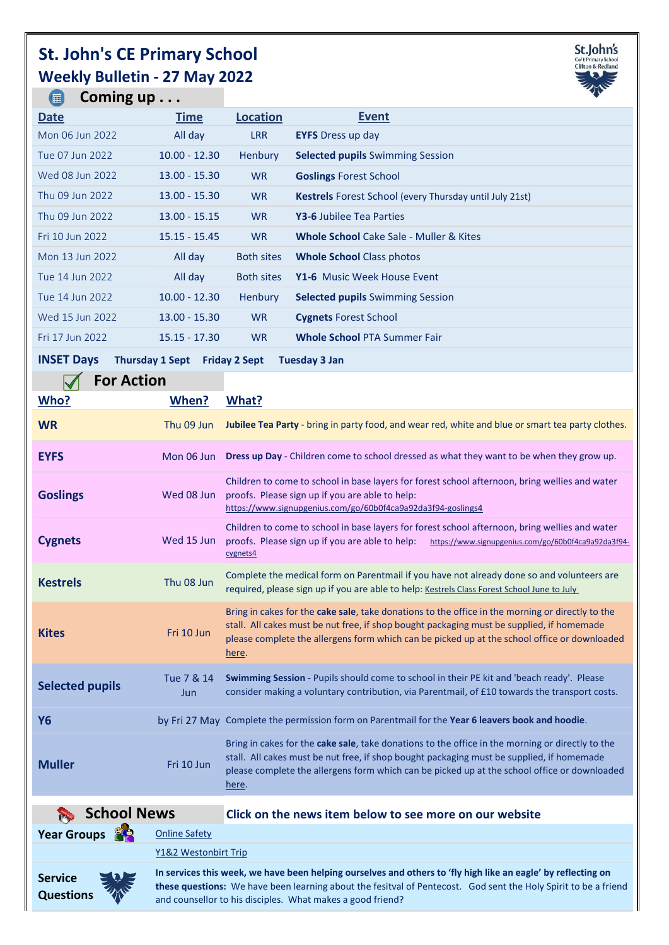## **St. John's CE Primary School Weekly Bulletin - 27 May 2022**



**Coming up . . .**  $\bullet$ 

| <b>Date</b>                                                                                 | <b>Time</b>     | <b>Location</b>   | <b>Event</b>                                                   |  |  |
|---------------------------------------------------------------------------------------------|-----------------|-------------------|----------------------------------------------------------------|--|--|
| Mon 06 Jun 2022                                                                             | All day         | <b>LRR</b>        | <b>EYFS</b> Dress up day                                       |  |  |
| Tue 07 Jun 2022                                                                             | $10.00 - 12.30$ | <b>Henbury</b>    | <b>Selected pupils Swimming Session</b>                        |  |  |
| Wed 08 Jun 2022                                                                             | $13.00 - 15.30$ | W <sub>R</sub>    | <b>Goslings Forest School</b>                                  |  |  |
| Thu 09 Jun 2022                                                                             | $13.00 - 15.30$ | <b>WR</b>         | <b>Kestrels</b> Forest School (every Thursday until July 21st) |  |  |
| Thu 09 Jun 2022                                                                             | $13.00 - 15.15$ | <b>WR</b>         | <b>Y3-6 Jubilee Tea Parties</b>                                |  |  |
| Fri 10 Jun 2022                                                                             | $15.15 - 15.45$ | <b>WR</b>         | <b>Whole School</b> Cake Sale - Muller & Kites                 |  |  |
| Mon 13 Jun 2022                                                                             | All day         | <b>Both sites</b> | <b>Whole School Class photos</b>                               |  |  |
| Tue 14 Jun 2022                                                                             | All day         | <b>Both sites</b> | Y1-6 Music Week House Event                                    |  |  |
| Tue 14 Jun 2022                                                                             | $10.00 - 12.30$ | <b>Henbury</b>    | <b>Selected pupils Swimming Session</b>                        |  |  |
| Wed 15 Jun 2022                                                                             | $13.00 - 15.30$ | <b>WR</b>         | <b>Cygnets Forest School</b>                                   |  |  |
| Fri 17 Jun 2022                                                                             | $15.15 - 17.30$ | <b>WR</b>         | <b>Whole School PTA Summer Fair</b>                            |  |  |
| <b>INSET Days</b><br><b>Thursday 1 Sept</b><br><b>Friday 2 Sept</b><br><b>Tuesday 3 Jan</b> |                 |                   |                                                                |  |  |

## **For Action**

| .<br>Who?              | When?             | What?                                                                                                                                                                                                                                                                                                  |
|------------------------|-------------------|--------------------------------------------------------------------------------------------------------------------------------------------------------------------------------------------------------------------------------------------------------------------------------------------------------|
| <b>WR</b>              | Thu 09 Jun        | Jubilee Tea Party - bring in party food, and wear red, white and blue or smart tea party clothes.                                                                                                                                                                                                      |
| <b>EYFS</b>            | Mon 06 Jun        | Dress up Day - Children come to school dressed as what they want to be when they grow up.                                                                                                                                                                                                              |
| <b>Goslings</b>        | Wed 08 Jun        | Children to come to school in base layers for forest school afternoon, bring wellies and water<br>proofs. Please sign up if you are able to help:<br>https://www.signupgenius.com/go/60b0f4ca9a92da3f94-goslings4                                                                                      |
| <b>Cygnets</b>         | Wed 15 Jun        | Children to come to school in base layers for forest school afternoon, bring wellies and water<br>proofs. Please sign up if you are able to help:<br>https://www.signupgenius.com/go/60b0f4ca9a92da3f94-<br>cygnets4                                                                                   |
| <b>Kestrels</b>        | Thu 08 Jun        | Complete the medical form on Parentmail if you have not already done so and volunteers are<br>required, please sign up if you are able to help: Kestrels Class Forest School June to July                                                                                                              |
| <b>Kites</b>           | Fri 10 Jun        | Bring in cakes for the cake sale, take donations to the office in the morning or directly to the<br>stall. All cakes must be nut free, if shop bought packaging must be supplied, if homemade<br>please complete the allergens form which can be picked up at the school office or downloaded<br>here. |
| <b>Selected pupils</b> | Tue 7 & 14<br>Jun | Swimming Session - Pupils should come to school in their PE kit and 'beach ready'. Please<br>consider making a voluntary contribution, via Parentmail, of £10 towards the transport costs.                                                                                                             |
| Y6                     |                   | by Fri 27 May Complete the permission form on Parentmail for the Year 6 leavers book and hoodie.                                                                                                                                                                                                       |
| <b>Muller</b>          | Fri 10 Jun        | Bring in cakes for the cake sale, take donations to the office in the morning or directly to the<br>stall. All cakes must be nut free, if shop bought packaging must be supplied, if homemade<br>please complete the allergens form which can be picked up at the school office or downloaded<br>here. |
|                        |                   |                                                                                                                                                                                                                                                                                                        |

| School News                             |                      | Click on the news item below to see more on our website                                                                                                                                                                                                                                        |
|-----------------------------------------|----------------------|------------------------------------------------------------------------------------------------------------------------------------------------------------------------------------------------------------------------------------------------------------------------------------------------|
| Year Groups                             | <b>Online Safety</b> |                                                                                                                                                                                                                                                                                                |
|                                         | Y1&2 Westonbirt Trip |                                                                                                                                                                                                                                                                                                |
| 茶<br><b>Service</b><br><b>Questions</b> |                      | In services this week, we have been helping ourselves and others to 'fly high like an eagle' by reflecting on<br>these questions: We have been learning about the fesitval of Pentecost. God sent the Holy Spirit to be a friend<br>and counsellor to his disciples. What makes a good friend? |

**these questions:** We have been learning about the fesitval of Pentecost. God sent the Holy Spirit to be a friend and counsellor to his disciples. What makes a good friend?